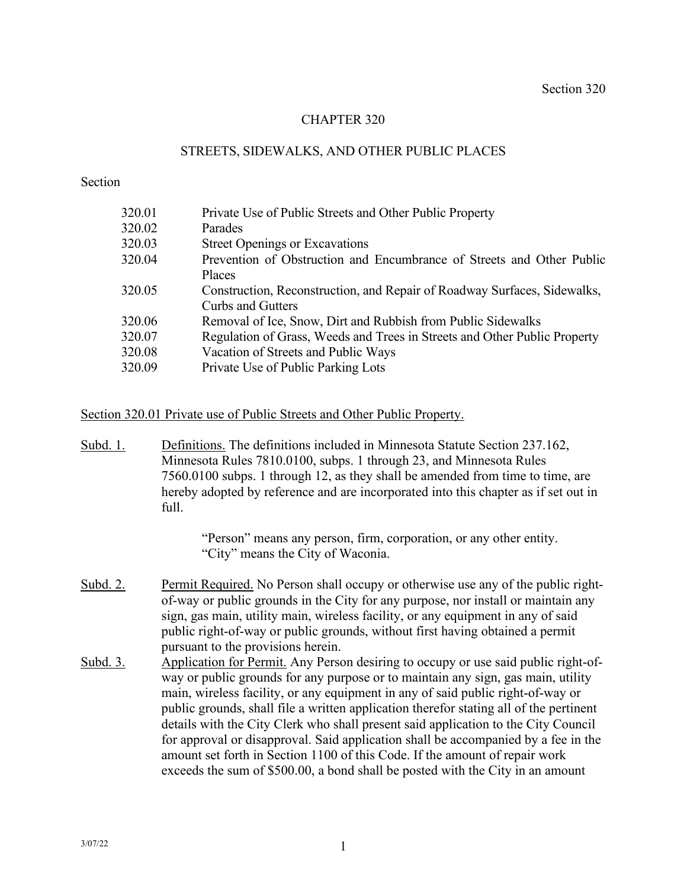## CHAPTER 320

### STREETS, SIDEWALKS, AND OTHER PUBLIC PLACES

#### Section

| 320.01 | Private Use of Public Streets and Other Public Property                   |
|--------|---------------------------------------------------------------------------|
| 320.02 | Parades                                                                   |
| 320.03 | <b>Street Openings or Excavations</b>                                     |
| 320.04 | Prevention of Obstruction and Encumbrance of Streets and Other Public     |
|        | Places                                                                    |
| 320.05 | Construction, Reconstruction, and Repair of Roadway Surfaces, Sidewalks,  |
|        | <b>Curbs and Gutters</b>                                                  |
| 320.06 | Removal of Ice, Snow, Dirt and Rubbish from Public Sidewalks              |
| 320.07 | Regulation of Grass, Weeds and Trees in Streets and Other Public Property |
| 320.08 | Vacation of Streets and Public Ways                                       |
| 320.09 | Private Use of Public Parking Lots                                        |
|        |                                                                           |

#### Section 320.01 Private use of Public Streets and Other Public Property.

Subd. 1. Definitions. The definitions included in Minnesota Statute Section 237.162, Minnesota Rules 7810.0100, subps. 1 through 23, and Minnesota Rules 7560.0100 subps. 1 through 12, as they shall be amended from time to time, are hereby adopted by reference and are incorporated into this chapter as if set out in full.

> "Person" means any person, firm, corporation, or any other entity. "City" means the City of Waconia.

- Subd. 2. Permit Required. No Person shall occupy or otherwise use any of the public rightof-way or public grounds in the City for any purpose, nor install or maintain any sign, gas main, utility main, wireless facility, or any equipment in any of said public right-of-way or public grounds, without first having obtained a permit pursuant to the provisions herein.
- Subd. 3. Application for Permit. Any Person desiring to occupy or use said public right-ofway or public grounds for any purpose or to maintain any sign, gas main, utility main, wireless facility, or any equipment in any of said public right-of-way or public grounds, shall file a written application therefor stating all of the pertinent details with the City Clerk who shall present said application to the City Council for approval or disapproval. Said application shall be accompanied by a fee in the amount set forth in Section 1100 of this Code. If the amount of repair work exceeds the sum of \$500.00, a bond shall be posted with the City in an amount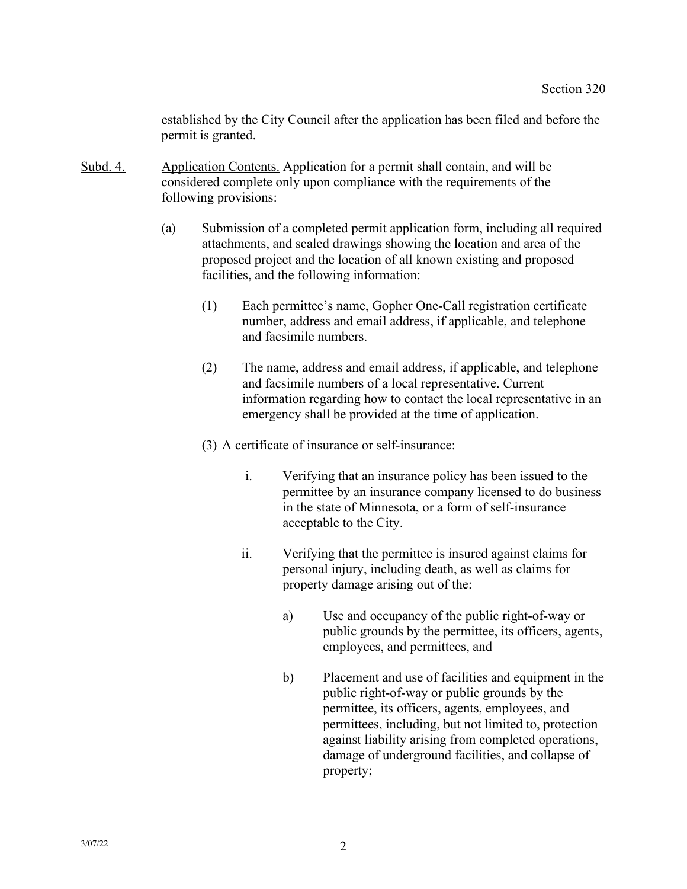established by the City Council after the application has been filed and before the permit is granted.

- Subd. 4. Application Contents. Application for a permit shall contain, and will be considered complete only upon compliance with the requirements of the following provisions:
	- (a) Submission of a completed permit application form, including all required attachments, and scaled drawings showing the location and area of the proposed project and the location of all known existing and proposed facilities, and the following information:
		- (1) Each permittee's name, Gopher One-Call registration certificate number, address and email address, if applicable, and telephone and facsimile numbers.
		- (2) The name, address and email address, if applicable, and telephone and facsimile numbers of a local representative. Current information regarding how to contact the local representative in an emergency shall be provided at the time of application.
		- (3) A certificate of insurance or self-insurance:
			- i. Verifying that an insurance policy has been issued to the permittee by an insurance company licensed to do business in the state of Minnesota, or a form of self-insurance acceptable to the City.
			- ii. Verifying that the permittee is insured against claims for personal injury, including death, as well as claims for property damage arising out of the:
				- a) Use and occupancy of the public right-of-way or public grounds by the permittee, its officers, agents, employees, and permittees, and
				- b) Placement and use of facilities and equipment in the public right-of-way or public grounds by the permittee, its officers, agents, employees, and permittees, including, but not limited to, protection against liability arising from completed operations, damage of underground facilities, and collapse of property;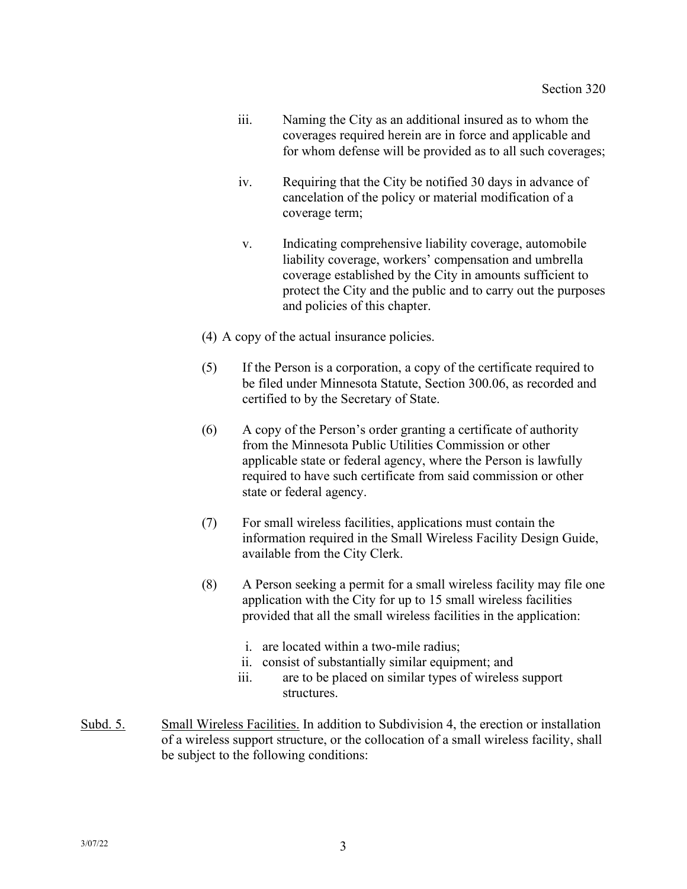- iii. Naming the City as an additional insured as to whom the coverages required herein are in force and applicable and for whom defense will be provided as to all such coverages;
- iv. Requiring that the City be notified 30 days in advance of cancelation of the policy or material modification of a coverage term;
- v. Indicating comprehensive liability coverage, automobile liability coverage, workers' compensation and umbrella coverage established by the City in amounts sufficient to protect the City and the public and to carry out the purposes and policies of this chapter.
- (4) A copy of the actual insurance policies.
- (5) If the Person is a corporation, a copy of the certificate required to be filed under Minnesota Statute, Section 300.06, as recorded and certified to by the Secretary of State.
- (6) A copy of the Person's order granting a certificate of authority from the Minnesota Public Utilities Commission or other applicable state or federal agency, where the Person is lawfully required to have such certificate from said commission or other state or federal agency.
- (7) For small wireless facilities, applications must contain the information required in the Small Wireless Facility Design Guide, available from the City Clerk.
- (8) A Person seeking a permit for a small wireless facility may file one application with the City for up to 15 small wireless facilities provided that all the small wireless facilities in the application:
	- i. are located within a two-mile radius;
	- ii. consist of substantially similar equipment; and
	- iii. are to be placed on similar types of wireless support structures.
- Subd. 5. Small Wireless Facilities. In addition to Subdivision 4, the erection or installation of a wireless support structure, or the collocation of a small wireless facility, shall be subject to the following conditions: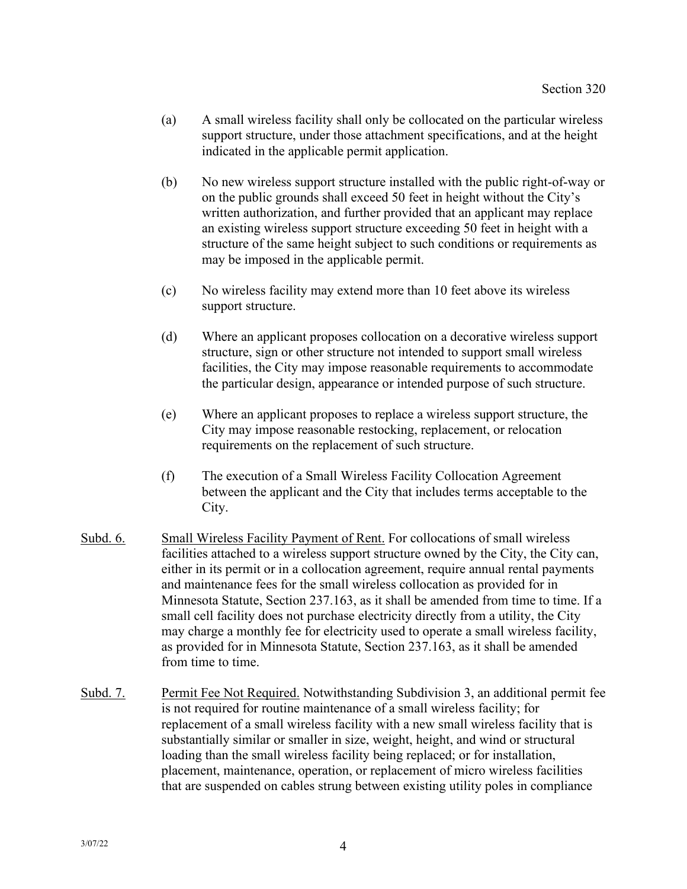- (a) A small wireless facility shall only be collocated on the particular wireless support structure, under those attachment specifications, and at the height indicated in the applicable permit application.
- (b) No new wireless support structure installed with the public right-of-way or on the public grounds shall exceed 50 feet in height without the City's written authorization, and further provided that an applicant may replace an existing wireless support structure exceeding 50 feet in height with a structure of the same height subject to such conditions or requirements as may be imposed in the applicable permit.
- (c) No wireless facility may extend more than 10 feet above its wireless support structure.
- (d) Where an applicant proposes collocation on a decorative wireless support structure, sign or other structure not intended to support small wireless facilities, the City may impose reasonable requirements to accommodate the particular design, appearance or intended purpose of such structure.
- (e) Where an applicant proposes to replace a wireless support structure, the City may impose reasonable restocking, replacement, or relocation requirements on the replacement of such structure.
- (f) The execution of a Small Wireless Facility Collocation Agreement between the applicant and the City that includes terms acceptable to the City.
- Subd. 6. Small Wireless Facility Payment of Rent. For collocations of small wireless facilities attached to a wireless support structure owned by the City, the City can, either in its permit or in a collocation agreement, require annual rental payments and maintenance fees for the small wireless collocation as provided for in Minnesota Statute, Section 237.163, as it shall be amended from time to time. If a small cell facility does not purchase electricity directly from a utility, the City may charge a monthly fee for electricity used to operate a small wireless facility, as provided for in Minnesota Statute, Section 237.163, as it shall be amended from time to time.
- Subd. 7. Permit Fee Not Required. Notwithstanding Subdivision 3, an additional permit fee is not required for routine maintenance of a small wireless facility; for replacement of a small wireless facility with a new small wireless facility that is substantially similar or smaller in size, weight, height, and wind or structural loading than the small wireless facility being replaced; or for installation, placement, maintenance, operation, or replacement of micro wireless facilities that are suspended on cables strung between existing utility poles in compliance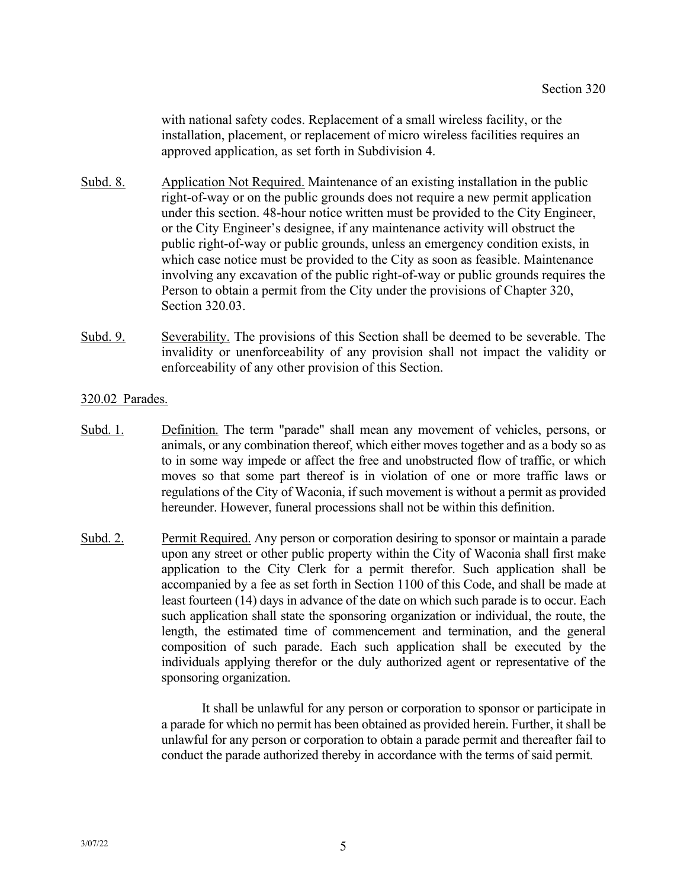with national safety codes. Replacement of a small wireless facility, or the installation, placement, or replacement of micro wireless facilities requires an approved application, as set forth in Subdivision 4.

- Subd. 8. Application Not Required. Maintenance of an existing installation in the public right-of-way or on the public grounds does not require a new permit application under this section. 48-hour notice written must be provided to the City Engineer, or the City Engineer's designee, if any maintenance activity will obstruct the public right-of-way or public grounds, unless an emergency condition exists, in which case notice must be provided to the City as soon as feasible. Maintenance involving any excavation of the public right-of-way or public grounds requires the Person to obtain a permit from the City under the provisions of Chapter 320, Section 320.03.
- Subd. 9. Severability. The provisions of this Section shall be deemed to be severable. The invalidity or unenforceability of any provision shall not impact the validity or enforceability of any other provision of this Section.

## 320.02 Parades.

- Subd. 1. Definition. The term "parade" shall mean any movement of vehicles, persons, or animals, or any combination thereof, which either moves together and as a body so as to in some way impede or affect the free and unobstructed flow of traffic, or which moves so that some part thereof is in violation of one or more traffic laws or regulations of the City of Waconia, if such movement is without a permit as provided hereunder. However, funeral processions shall not be within this definition.
- Subd. 2. Permit Required. Any person or corporation desiring to sponsor or maintain a parade upon any street or other public property within the City of Waconia shall first make application to the City Clerk for a permit therefor. Such application shall be accompanied by a fee as set forth in Section 1100 of this Code, and shall be made at least fourteen (14) days in advance of the date on which such parade is to occur. Each such application shall state the sponsoring organization or individual, the route, the length, the estimated time of commencement and termination, and the general composition of such parade. Each such application shall be executed by the individuals applying therefor or the duly authorized agent or representative of the sponsoring organization.

It shall be unlawful for any person or corporation to sponsor or participate in a parade for which no permit has been obtained as provided herein. Further, it shall be unlawful for any person or corporation to obtain a parade permit and thereafter fail to conduct the parade authorized thereby in accordance with the terms of said permit.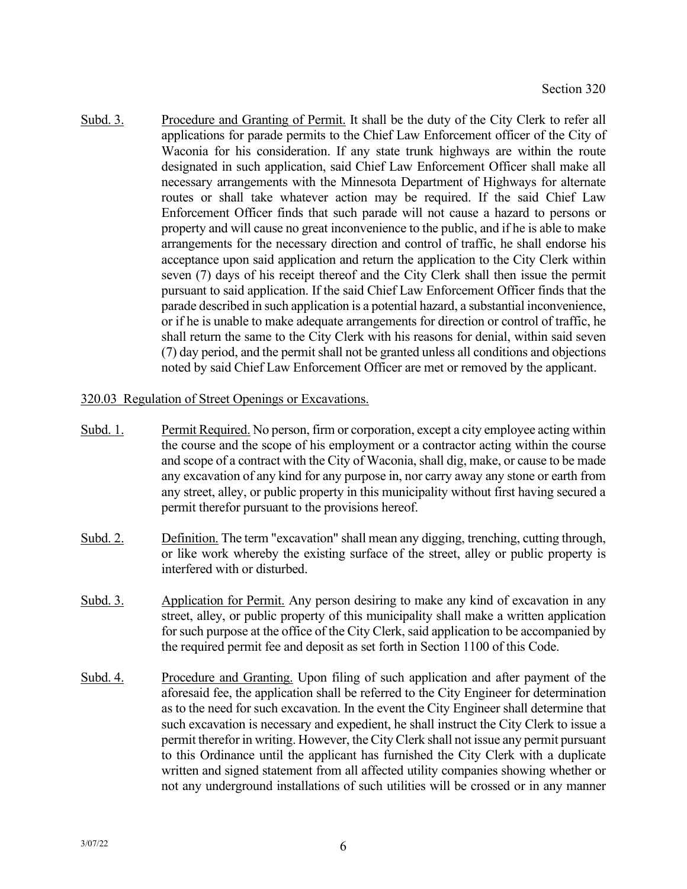Subd. 3. Procedure and Granting of Permit. It shall be the duty of the City Clerk to refer all applications for parade permits to the Chief Law Enforcement officer of the City of Waconia for his consideration. If any state trunk highways are within the route designated in such application, said Chief Law Enforcement Officer shall make all necessary arrangements with the Minnesota Department of Highways for alternate routes or shall take whatever action may be required. If the said Chief Law Enforcement Officer finds that such parade will not cause a hazard to persons or property and will cause no great inconvenience to the public, and if he is able to make arrangements for the necessary direction and control of traffic, he shall endorse his acceptance upon said application and return the application to the City Clerk within seven (7) days of his receipt thereof and the City Clerk shall then issue the permit pursuant to said application. If the said Chief Law Enforcement Officer finds that the parade described in such application is a potential hazard, a substantial inconvenience, or if he is unable to make adequate arrangements for direction or control of traffic, he shall return the same to the City Clerk with his reasons for denial, within said seven (7) day period, and the permit shall not be granted unless all conditions and objections noted by said Chief Law Enforcement Officer are met or removed by the applicant.

# 320.03 Regulation of Street Openings or Excavations.

- Subd. 1. Permit Required. No person, firm or corporation, except a city employee acting within the course and the scope of his employment or a contractor acting within the course and scope of a contract with the City of Waconia, shall dig, make, or cause to be made any excavation of any kind for any purpose in, nor carry away any stone or earth from any street, alley, or public property in this municipality without first having secured a permit therefor pursuant to the provisions hereof.
- Subd. 2. Definition. The term "excavation" shall mean any digging, trenching, cutting through, or like work whereby the existing surface of the street, alley or public property is interfered with or disturbed.
- Subd. 3. Application for Permit. Any person desiring to make any kind of excavation in any street, alley, or public property of this municipality shall make a written application for such purpose at the office of the City Clerk, said application to be accompanied by the required permit fee and deposit as set forth in Section 1100 of this Code.
- Subd. 4. Procedure and Granting. Upon filing of such application and after payment of the aforesaid fee, the application shall be referred to the City Engineer for determination as to the need for such excavation. In the event the City Engineer shall determine that such excavation is necessary and expedient, he shall instruct the City Clerk to issue a permit therefor in writing. However, the City Clerk shall not issue any permit pursuant to this Ordinance until the applicant has furnished the City Clerk with a duplicate written and signed statement from all affected utility companies showing whether or not any underground installations of such utilities will be crossed or in any manner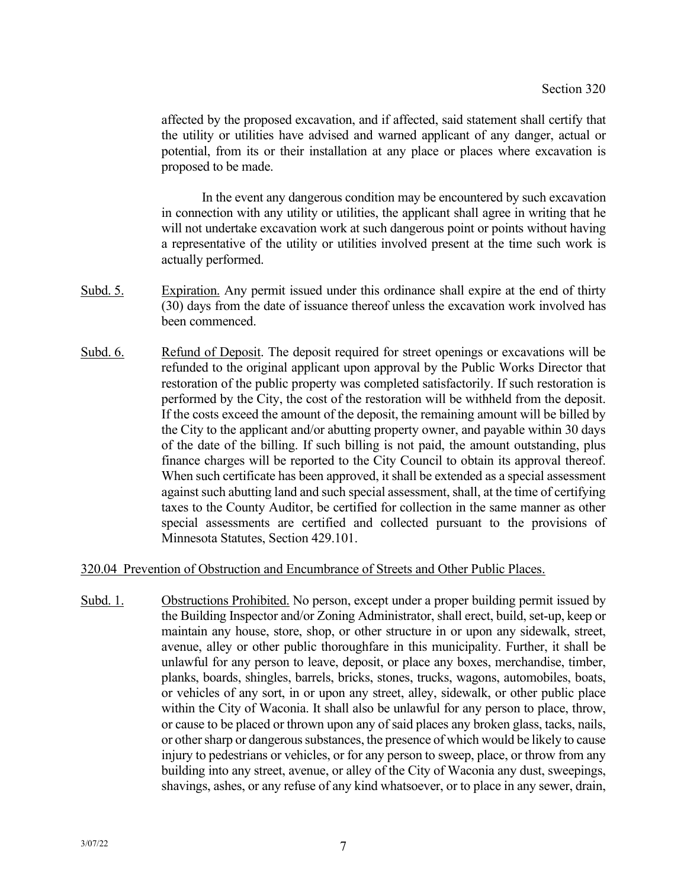affected by the proposed excavation, and if affected, said statement shall certify that the utility or utilities have advised and warned applicant of any danger, actual or potential, from its or their installation at any place or places where excavation is proposed to be made.

In the event any dangerous condition may be encountered by such excavation in connection with any utility or utilities, the applicant shall agree in writing that he will not undertake excavation work at such dangerous point or points without having a representative of the utility or utilities involved present at the time such work is actually performed.

- Subd. 5. Expiration. Any permit issued under this ordinance shall expire at the end of thirty (30) days from the date of issuance thereof unless the excavation work involved has been commenced.
- Subd. 6. Refund of Deposit. The deposit required for street openings or excavations will be refunded to the original applicant upon approval by the Public Works Director that restoration of the public property was completed satisfactorily. If such restoration is performed by the City, the cost of the restoration will be withheld from the deposit. If the costs exceed the amount of the deposit, the remaining amount will be billed by the City to the applicant and/or abutting property owner, and payable within 30 days of the date of the billing. If such billing is not paid, the amount outstanding, plus finance charges will be reported to the City Council to obtain its approval thereof. When such certificate has been approved, it shall be extended as a special assessment against such abutting land and such special assessment, shall, at the time of certifying taxes to the County Auditor, be certified for collection in the same manner as other special assessments are certified and collected pursuant to the provisions of Minnesota Statutes, Section 429.101.

#### 320.04 Prevention of Obstruction and Encumbrance of Streets and Other Public Places.

Subd. 1. Obstructions Prohibited. No person, except under a proper building permit issued by the Building Inspector and/or Zoning Administrator, shall erect, build, set-up, keep or maintain any house, store, shop, or other structure in or upon any sidewalk, street, avenue, alley or other public thoroughfare in this municipality. Further, it shall be unlawful for any person to leave, deposit, or place any boxes, merchandise, timber, planks, boards, shingles, barrels, bricks, stones, trucks, wagons, automobiles, boats, or vehicles of any sort, in or upon any street, alley, sidewalk, or other public place within the City of Waconia. It shall also be unlawful for any person to place, throw, or cause to be placed or thrown upon any of said places any broken glass, tacks, nails, or other sharp or dangerous substances, the presence of which would be likely to cause injury to pedestrians or vehicles, or for any person to sweep, place, or throw from any building into any street, avenue, or alley of the City of Waconia any dust, sweepings, shavings, ashes, or any refuse of any kind whatsoever, or to place in any sewer, drain,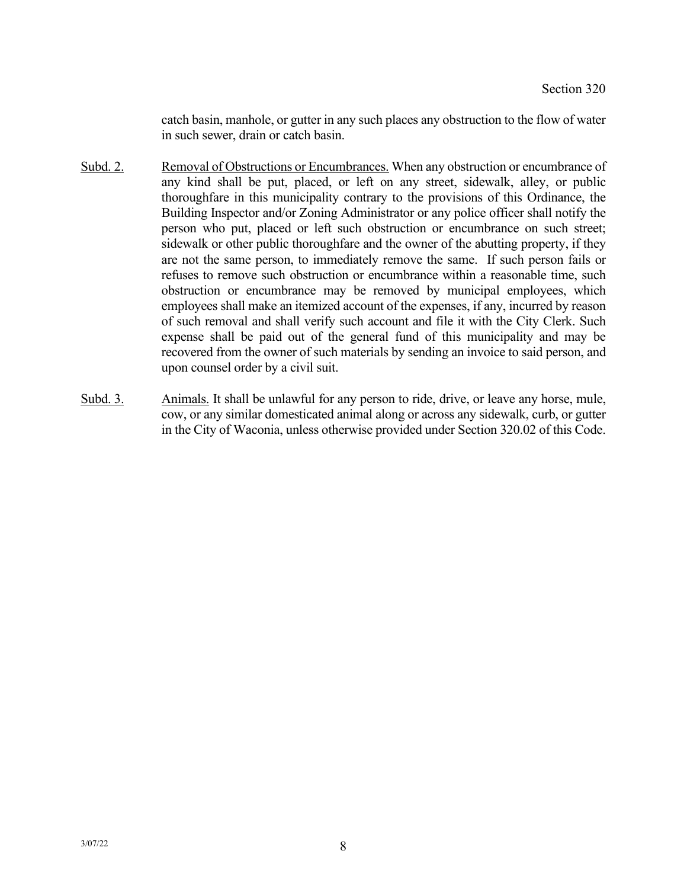catch basin, manhole, or gutter in any such places any obstruction to the flow of water in such sewer, drain or catch basin.

- Subd. 2. Removal of Obstructions or Encumbrances. When any obstruction or encumbrance of any kind shall be put, placed, or left on any street, sidewalk, alley, or public thoroughfare in this municipality contrary to the provisions of this Ordinance, the Building Inspector and/or Zoning Administrator or any police officer shall notify the person who put, placed or left such obstruction or encumbrance on such street; sidewalk or other public thoroughfare and the owner of the abutting property, if they are not the same person, to immediately remove the same. If such person fails or refuses to remove such obstruction or encumbrance within a reasonable time, such obstruction or encumbrance may be removed by municipal employees, which employees shall make an itemized account of the expenses, if any, incurred by reason of such removal and shall verify such account and file it with the City Clerk. Such expense shall be paid out of the general fund of this municipality and may be recovered from the owner of such materials by sending an invoice to said person, and upon counsel order by a civil suit.
- Subd. 3. Animals. It shall be unlawful for any person to ride, drive, or leave any horse, mule, cow, or any similar domesticated animal along or across any sidewalk, curb, or gutter in the City of Waconia, unless otherwise provided under Section 320.02 of this Code.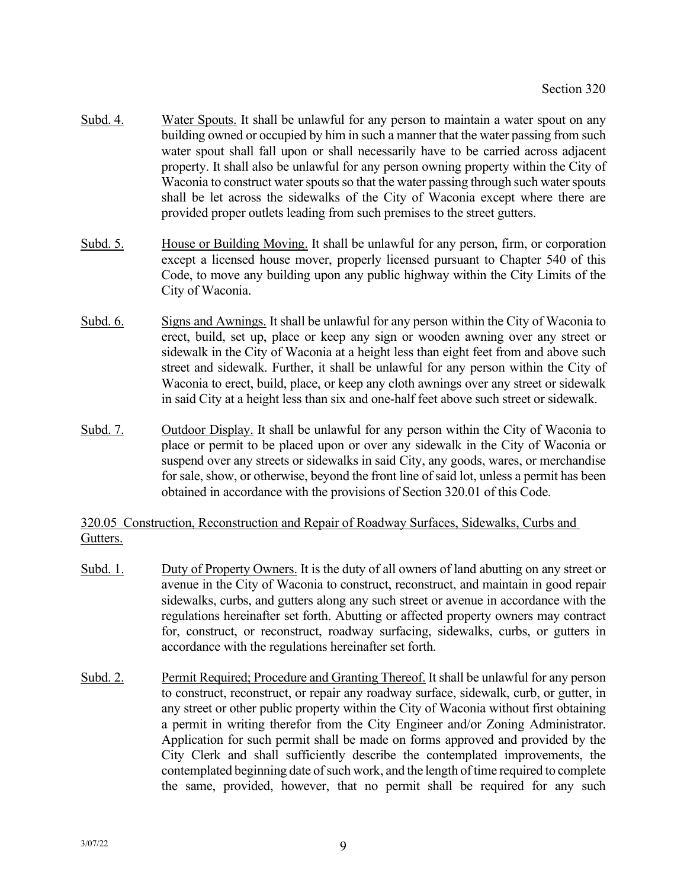- Subd. 4. Water Spouts. It shall be unlawful for any person to maintain a water spout on any building owned or occupied by him in such a manner that the water passing from such water spout shall fall upon or shall necessarily have to be carried across adjacent property. It shall also be unlawful for any person owning property within the City of Waconia to construct water spouts so that the water passing through such water spouts shall be let across the sidewalks of the City of Waconia except where there are provided proper outlets leading from such premises to the street gutters.
- Subd. 5. House or Building Moving. It shall be unlawful for any person, firm, or corporation except a licensed house mover, properly licensed pursuant to Chapter 540 of this Code, to move any building upon any public highway within the City Limits of the City of Waconia.
- Subd. 6. Signs and Awnings. It shall be unlawful for any person within the City of Waconia to erect, build, set up, place or keep any sign or wooden awning over any street or sidewalk in the City of Waconia at a height less than eight feet from and above such street and sidewalk. Further, it shall be unlawful for any person within the City of Waconia to erect, build, place, or keep any cloth awnings over any street or sidewalk in said City at a height less than six and one-half feet above such street or sidewalk.
- Subd. 7. Outdoor Display. It shall be unlawful for any person within the City of Waconia to place or permit to be placed upon or over any sidewalk in the City of Waconia or suspend over any streets or sidewalks in said City, any goods, wares, or merchandise for sale, show, or otherwise, beyond the front line of said lot, unless a permit has been obtained in accordance with the provisions of Section 320.01 of this Code.

# 320.05 Construction, Reconstruction and Repair of Roadway Surfaces, Sidewalks, Curbs and Gutters.

- Subd. 1. Duty of Property Owners. It is the duty of all owners of land abutting on any street or avenue in the City of Waconia to construct, reconstruct, and maintain in good repair sidewalks, curbs, and gutters along any such street or avenue in accordance with the regulations hereinafter set forth. Abutting or affected property owners may contract for, construct, or reconstruct, roadway surfacing, sidewalks, curbs, or gutters in accordance with the regulations hereinafter set forth.
- Subd. 2. Permit Required; Procedure and Granting Thereof. It shall be unlawful for any person to construct, reconstruct, or repair any roadway surface, sidewalk, curb, or gutter, in any street or other public property within the City of Waconia without first obtaining a permit in writing therefor from the City Engineer and/or Zoning Administrator. Application for such permit shall be made on forms approved and provided by the City Clerk and shall sufficiently describe the contemplated improvements, the contemplated beginning date of such work, and the length of time required to complete the same, provided, however, that no permit shall be required for any such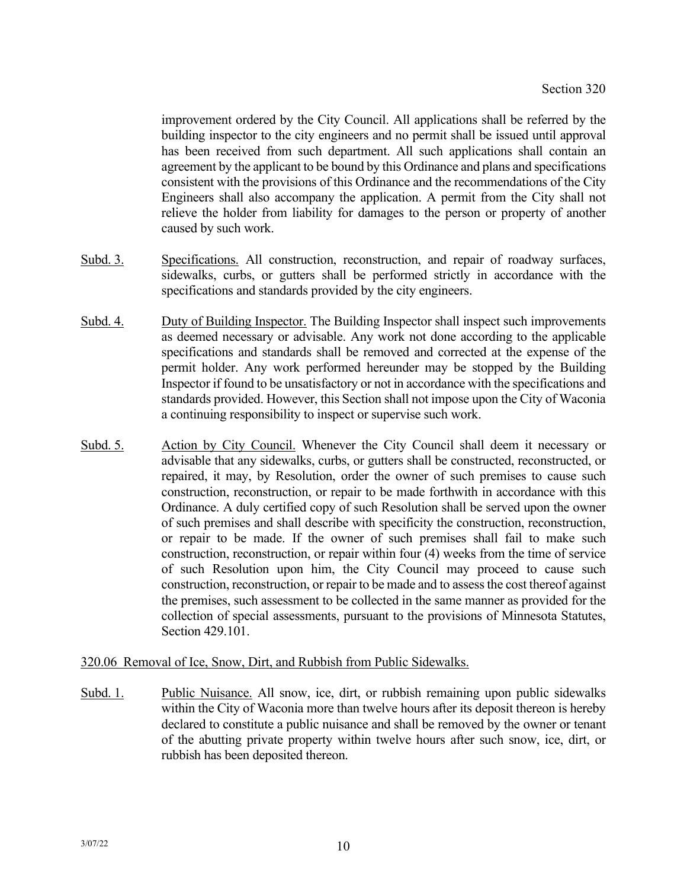improvement ordered by the City Council. All applications shall be referred by the building inspector to the city engineers and no permit shall be issued until approval has been received from such department. All such applications shall contain an agreement by the applicant to be bound by this Ordinance and plans and specifications consistent with the provisions of this Ordinance and the recommendations of the City Engineers shall also accompany the application. A permit from the City shall not relieve the holder from liability for damages to the person or property of another caused by such work.

- Subd. 3. Specifications. All construction, reconstruction, and repair of roadway surfaces, sidewalks, curbs, or gutters shall be performed strictly in accordance with the specifications and standards provided by the city engineers.
- Subd. 4. Duty of Building Inspector. The Building Inspector shall inspect such improvements as deemed necessary or advisable. Any work not done according to the applicable specifications and standards shall be removed and corrected at the expense of the permit holder. Any work performed hereunder may be stopped by the Building Inspector if found to be unsatisfactory or not in accordance with the specifications and standards provided. However, this Section shall not impose upon the City of Waconia a continuing responsibility to inspect or supervise such work.
- Subd. 5. Action by City Council. Whenever the City Council shall deem it necessary or advisable that any sidewalks, curbs, or gutters shall be constructed, reconstructed, or repaired, it may, by Resolution, order the owner of such premises to cause such construction, reconstruction, or repair to be made forthwith in accordance with this Ordinance. A duly certified copy of such Resolution shall be served upon the owner of such premises and shall describe with specificity the construction, reconstruction, or repair to be made. If the owner of such premises shall fail to make such construction, reconstruction, or repair within four (4) weeks from the time of service of such Resolution upon him, the City Council may proceed to cause such construction, reconstruction, or repair to be made and to assess the cost thereof against the premises, such assessment to be collected in the same manner as provided for the collection of special assessments, pursuant to the provisions of Minnesota Statutes, Section 429.101.

# 320.06 Removal of Ice, Snow, Dirt, and Rubbish from Public Sidewalks.

Subd. 1. Public Nuisance. All snow, ice, dirt, or rubbish remaining upon public sidewalks within the City of Waconia more than twelve hours after its deposit thereon is hereby declared to constitute a public nuisance and shall be removed by the owner or tenant of the abutting private property within twelve hours after such snow, ice, dirt, or rubbish has been deposited thereon.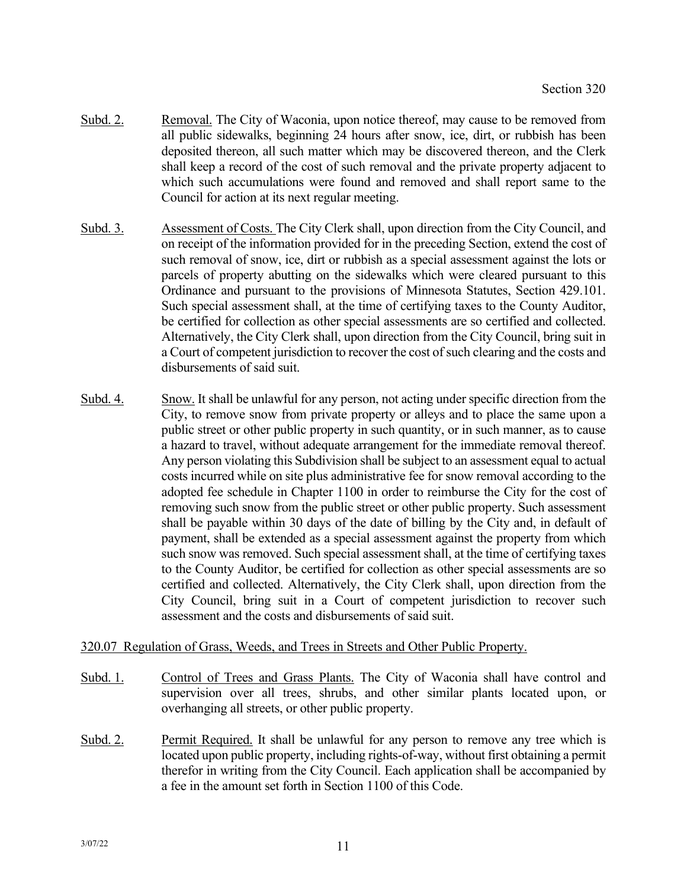- Subd. 2. Removal. The City of Waconia, upon notice thereof, may cause to be removed from all public sidewalks, beginning 24 hours after snow, ice, dirt, or rubbish has been deposited thereon, all such matter which may be discovered thereon, and the Clerk shall keep a record of the cost of such removal and the private property adjacent to which such accumulations were found and removed and shall report same to the Council for action at its next regular meeting.
- Subd. 3. Assessment of Costs. The City Clerk shall, upon direction from the City Council, and on receipt of the information provided for in the preceding Section, extend the cost of such removal of snow, ice, dirt or rubbish as a special assessment against the lots or parcels of property abutting on the sidewalks which were cleared pursuant to this Ordinance and pursuant to the provisions of Minnesota Statutes, Section 429.101. Such special assessment shall, at the time of certifying taxes to the County Auditor, be certified for collection as other special assessments are so certified and collected. Alternatively, the City Clerk shall, upon direction from the City Council, bring suit in a Court of competent jurisdiction to recover the cost of such clearing and the costs and disbursements of said suit.
- Subd. 4. Snow. It shall be unlawful for any person, not acting under specific direction from the City, to remove snow from private property or alleys and to place the same upon a public street or other public property in such quantity, or in such manner, as to cause a hazard to travel, without adequate arrangement for the immediate removal thereof. Any person violating this Subdivision shall be subject to an assessment equal to actual costs incurred while on site plus administrative fee for snow removal according to the adopted fee schedule in Chapter 1100 in order to reimburse the City for the cost of removing such snow from the public street or other public property. Such assessment shall be payable within 30 days of the date of billing by the City and, in default of payment, shall be extended as a special assessment against the property from which such snow was removed. Such special assessment shall, at the time of certifying taxes to the County Auditor, be certified for collection as other special assessments are so certified and collected. Alternatively, the City Clerk shall, upon direction from the City Council, bring suit in a Court of competent jurisdiction to recover such assessment and the costs and disbursements of said suit.

#### 320.07 Regulation of Grass, Weeds, and Trees in Streets and Other Public Property.

- Subd. 1. Control of Trees and Grass Plants. The City of Waconia shall have control and supervision over all trees, shrubs, and other similar plants located upon, or overhanging all streets, or other public property.
- Subd. 2. Permit Required. It shall be unlawful for any person to remove any tree which is located upon public property, including rights-of-way, without first obtaining a permit therefor in writing from the City Council. Each application shall be accompanied by a fee in the amount set forth in Section 1100 of this Code.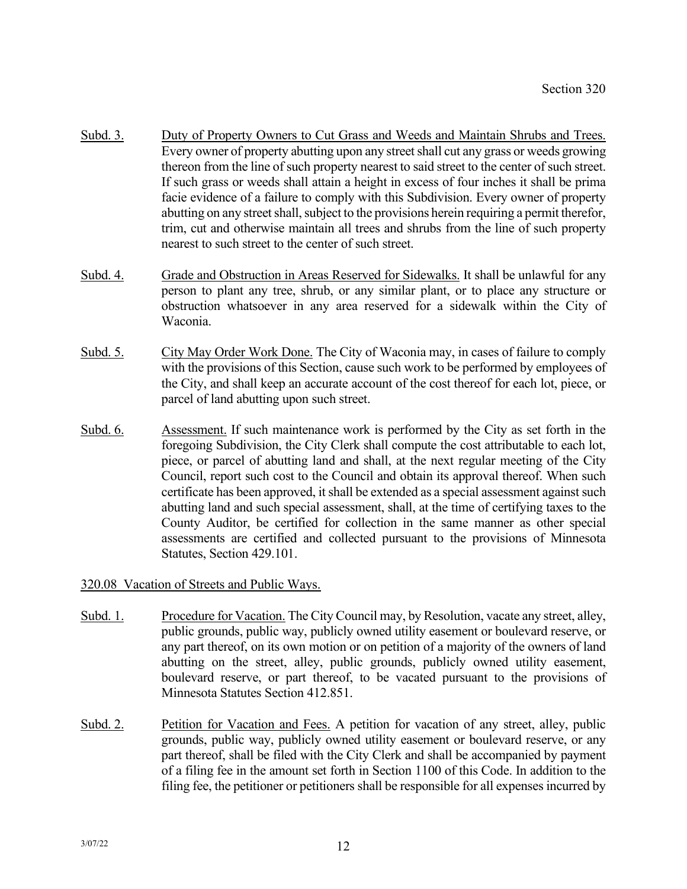- Subd. 3. Duty of Property Owners to Cut Grass and Weeds and Maintain Shrubs and Trees. Every owner of property abutting upon any street shall cut any grass or weeds growing thereon from the line of such property nearest to said street to the center of such street. If such grass or weeds shall attain a height in excess of four inches it shall be prima facie evidence of a failure to comply with this Subdivision. Every owner of property abutting on any street shall, subject to the provisions herein requiring a permit therefor, trim, cut and otherwise maintain all trees and shrubs from the line of such property nearest to such street to the center of such street.
- Subd. 4. Grade and Obstruction in Areas Reserved for Sidewalks. It shall be unlawful for any person to plant any tree, shrub, or any similar plant, or to place any structure or obstruction whatsoever in any area reserved for a sidewalk within the City of Waconia.
- Subd. 5. City May Order Work Done. The City of Waconia may, in cases of failure to comply with the provisions of this Section, cause such work to be performed by employees of the City, and shall keep an accurate account of the cost thereof for each lot, piece, or parcel of land abutting upon such street.
- Subd. 6. Assessment. If such maintenance work is performed by the City as set forth in the foregoing Subdivision, the City Clerk shall compute the cost attributable to each lot, piece, or parcel of abutting land and shall, at the next regular meeting of the City Council, report such cost to the Council and obtain its approval thereof. When such certificate has been approved, it shall be extended as a special assessment against such abutting land and such special assessment, shall, at the time of certifying taxes to the County Auditor, be certified for collection in the same manner as other special assessments are certified and collected pursuant to the provisions of Minnesota Statutes, Section 429.101.

320.08 Vacation of Streets and Public Ways.

- Subd. 1. Procedure for Vacation. The City Council may, by Resolution, vacate any street, alley, public grounds, public way, publicly owned utility easement or boulevard reserve, or any part thereof, on its own motion or on petition of a majority of the owners of land abutting on the street, alley, public grounds, publicly owned utility easement, boulevard reserve, or part thereof, to be vacated pursuant to the provisions of Minnesota Statutes Section 412.851.
- Subd. 2. Petition for Vacation and Fees. A petition for vacation of any street, alley, public grounds, public way, publicly owned utility easement or boulevard reserve, or any part thereof, shall be filed with the City Clerk and shall be accompanied by payment of a filing fee in the amount set forth in Section 1100 of this Code. In addition to the filing fee, the petitioner or petitioners shall be responsible for all expenses incurred by